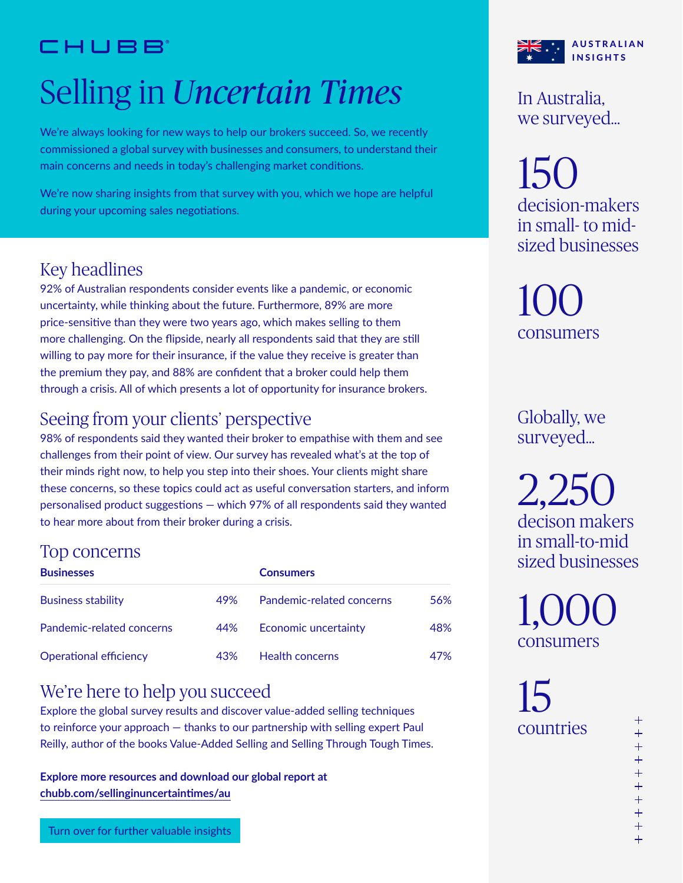### CHUBB

# Selling in *Uncertain Times*

We're always looking for new ways to help our brokers succeed. So, we recently commissioned a global survey with businesses and consumers, to understand their main concerns and needs in today's challenging market conditions.

We're now sharing insights from that survey with you, which we hope are helpful during your upcoming sales negotiations.

### Key headlines

92% of Australian respondents consider events like a pandemic, or economic uncertainty, while thinking about the future. Furthermore, 89% are more price-sensitive than they were two years ago, which makes selling to them more challenging. On the flipside, nearly all respondents said that they are still willing to pay more for their insurance, if the value they receive is greater than the premium they pay, and 88% are confident that a broker could help them through a crisis. All of which presents a lot of opportunity for insurance brokers.

### Seeing from your clients' perspective

98% of respondents said they wanted their broker to empathise with them and see challenges from their point of view. Our survey has revealed what's at the top of their minds right now, to help you step into their shoes. Your clients might share these concerns, so these topics could act as useful conversation starters, and inform personalised product suggestions — which 97% of all respondents said they wanted to hear more about from their broker during a crisis.

### Top concerns

| <b>Businesses</b>             |     | <b>Consumers</b>            |     |
|-------------------------------|-----|-----------------------------|-----|
| <b>Business stability</b>     | 49% | Pandemic-related concerns   | 56% |
| Pandemic-related concerns     | 44% | <b>Economic uncertainty</b> | 48% |
| <b>Operational efficiency</b> | 43% | <b>Health concerns</b>      | 47% |

### We're here to help you succeed

Explore the global survey results and discover value-added selling techniques to reinforce your approach — thanks to our partnership with selling expert Paul Reilly, author of the books Value-Added Selling and Selling Through Tough Times.

**Explore more resources and download our global report at chubb.com/sellinginuncertaintimes/au**



In Australia, we surveyed...

### 150 decision-makers in small- to midsized businesses

100 consumers

Globally, we surveyed…

2,250 decison makers in small-to-mid sized businesses

 $1(0()$ consumers

15 countries